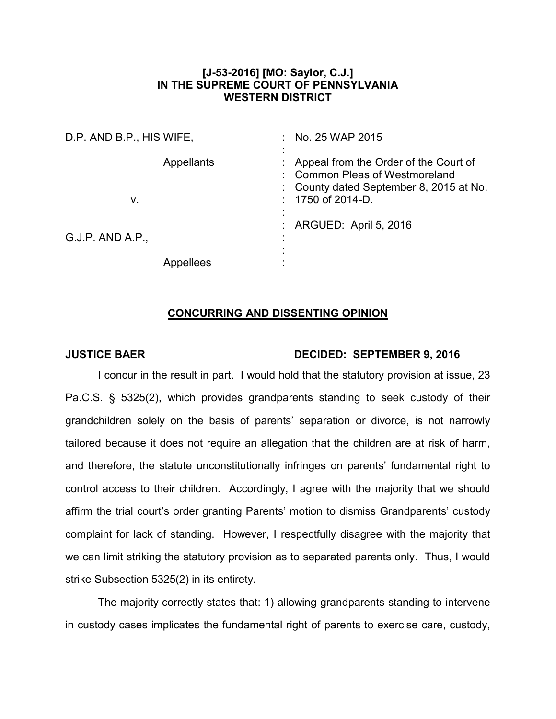## **[J-53-2016] [MO: Saylor, C.J.] IN THE SUPREME COURT OF PENNSYLVANIA WESTERN DISTRICT**

| D.P. AND B.P., HIS WIFE, |                   | No. 25 WAP 2015                                                                                                                               |
|--------------------------|-------------------|-----------------------------------------------------------------------------------------------------------------------------------------------|
| V.                       | <b>Appellants</b> | Appeal from the Order of the Court of<br><b>Common Pleas of Westmoreland</b><br>County dated September 8, 2015 at No.<br>1750 of 2014-D.<br>٠ |
| $G.J.P.$ AND A.P.,       | Appellees         | : ARGUED: April 5, 2016                                                                                                                       |

## **CONCURRING AND DISSENTING OPINION**

## **JUSTICE BAER DECIDED: SEPTEMBER 9, 2016**

I concur in the result in part. I would hold that the statutory provision at issue, 23 Pa.C.S. § 5325(2), which provides grandparents standing to seek custody of their grandchildren solely on the basis of parents' separation or divorce, is not narrowly tailored because it does not require an allegation that the children are at risk of harm, and therefore, the statute unconstitutionally infringes on parents' fundamental right to control access to their children. Accordingly, I agree with the majority that we should affirm the trial court's order granting Parents' motion to dismiss Grandparents' custody complaint for lack of standing. However, I respectfully disagree with the majority that we can limit striking the statutory provision as to separated parents only. Thus, I would strike Subsection 5325(2) in its entirety.

The majority correctly states that: 1) allowing grandparents standing to intervene in custody cases implicates the fundamental right of parents to exercise care, custody,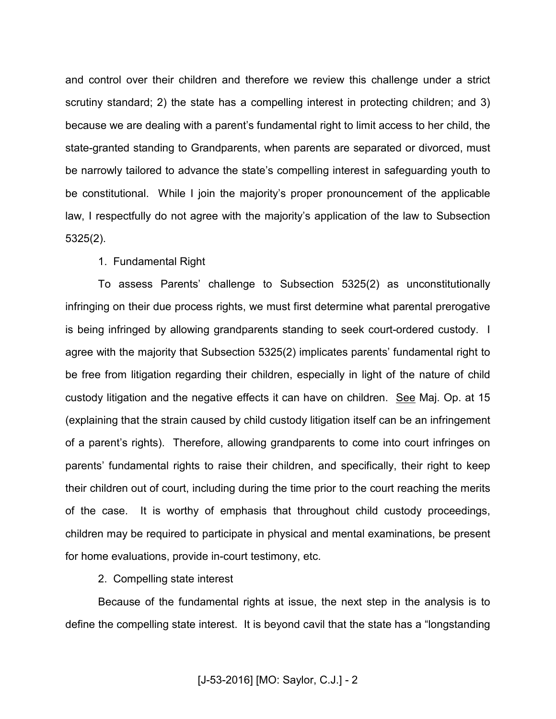and control over their children and therefore we review this challenge under a strict scrutiny standard; 2) the state has a compelling interest in protecting children; and 3) because we are dealing with a parent's fundamental right to limit access to her child, the state-granted standing to Grandparents, when parents are separated or divorced, must be narrowly tailored to advance the state's compelling interest in safeguarding youth to be constitutional. While I join the majority's proper pronouncement of the applicable law, I respectfully do not agree with the majority's application of the law to Subsection 5325(2).

1. Fundamental Right

To assess Parents' challenge to Subsection 5325(2) as unconstitutionally infringing on their due process rights, we must first determine what parental prerogative is being infringed by allowing grandparents standing to seek court-ordered custody. I agree with the majority that Subsection 5325(2) implicates parents' fundamental right to be free from litigation regarding their children, especially in light of the nature of child custody litigation and the negative effects it can have on children. See Maj. Op. at 15 (explaining that the strain caused by child custody litigation itself can be an infringement of a parent's rights). Therefore, allowing grandparents to come into court infringes on parents' fundamental rights to raise their children, and specifically, their right to keep their children out of court, including during the time prior to the court reaching the merits of the case. It is worthy of emphasis that throughout child custody proceedings, children may be required to participate in physical and mental examinations, be present for home evaluations, provide in-court testimony, etc.

2. Compelling state interest

Because of the fundamental rights at issue, the next step in the analysis is to define the compelling state interest. It is beyond cavil that the state has a "longstanding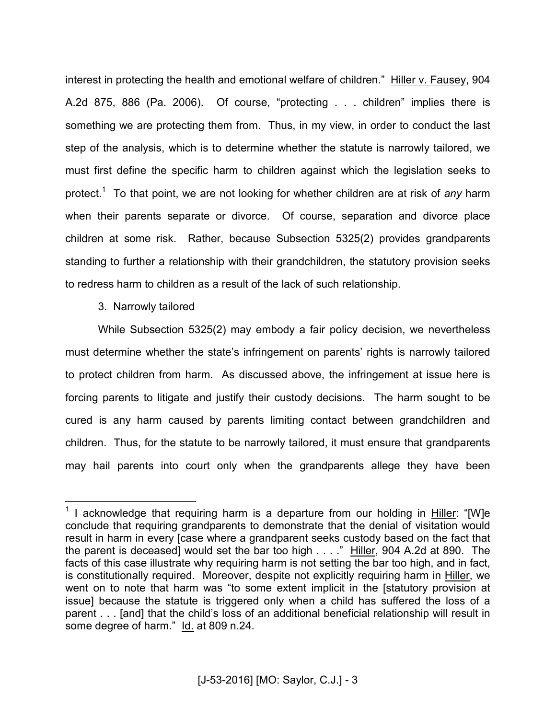interest in protecting the health and emotional welfare of children." Hiller v. Fausey, 904 A.2d 875, 886 (Pa. 2006). Of course, "protecting . . . children" implies there is something we are protecting them from. Thus, in my view, in order to conduct the last step of the analysis, which is to determine whether the statute is narrowly tailored, we must first define the specific harm to children against which the legislation seeks to protect.<sup>1</sup> To that point, we are not looking for whether children are at risk of *any* harm when their parents separate or divorce. Of course, separation and divorce place children at some risk. Rather, because Subsection 5325(2) provides grandparents standing to further a relationship with their grandchildren, the statutory provision seeks to redress harm to children as a result of the lack of such relationship.

3. Narrowly tailored

While Subsection 5325(2) may embody a fair policy decision, we nevertheless must determine whether the state's infringement on parents' rights is narrowly tailored to protect children from harm. As discussed above, the infringement at issue here is forcing parents to litigate and justify their custody decisions. The harm sought to be cured is any harm caused by parents limiting contact between grandchildren and children. Thus, for the statute to be narrowly tailored, it must ensure that grandparents may hail parents into court only when the grandparents allege they have been

**TELEVIS 1**<br><sup>1</sup> I acknowledge that requiring harm is a departure from our holding in Hiller: "[W]e conclude that requiring grandparents to demonstrate that the denial of visitation would result in harm in every [case where a grandparent seeks custody based on the fact that the parent is deceased] would set the bar too high . . . ." Hiller, 904 A.2d at 890. The facts of this case illustrate why requiring harm is not setting the bar too high, and in fact, is constitutionally required. Moreover, despite not explicitly requiring harm in Hiller, we went on to note that harm was "to some extent implicit in the [statutory provision at issue] because the statute is triggered only when a child has suffered the loss of a parent . . . [and] that the child's loss of an additional beneficial relationship will result in some degree of harm." Id. at 809 n.24.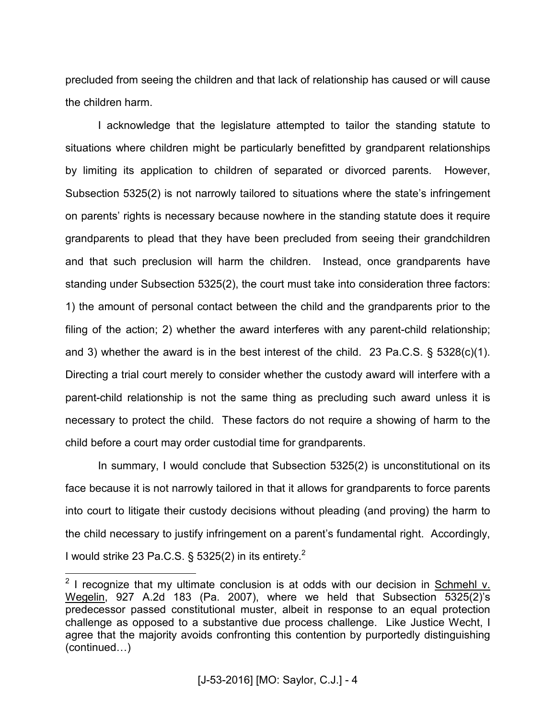precluded from seeing the children and that lack of relationship has caused or will cause the children harm.

I acknowledge that the legislature attempted to tailor the standing statute to situations where children might be particularly benefitted by grandparent relationships by limiting its application to children of separated or divorced parents. However, Subsection 5325(2) is not narrowly tailored to situations where the state's infringement on parents' rights is necessary because nowhere in the standing statute does it require grandparents to plead that they have been precluded from seeing their grandchildren and that such preclusion will harm the children. Instead, once grandparents have standing under Subsection 5325(2), the court must take into consideration three factors: 1) the amount of personal contact between the child and the grandparents prior to the filing of the action; 2) whether the award interferes with any parent-child relationship; and 3) whether the award is in the best interest of the child. 23 Pa.C.S.  $\S$  5328(c)(1). Directing a trial court merely to consider whether the custody award will interfere with a parent-child relationship is not the same thing as precluding such award unless it is necessary to protect the child. These factors do not require a showing of harm to the child before a court may order custodial time for grandparents.

In summary, I would conclude that Subsection 5325(2) is unconstitutional on its face because it is not narrowly tailored in that it allows for grandparents to force parents into court to litigate their custody decisions without pleading (and proving) the harm to the child necessary to justify infringement on a parent's fundamental right. Accordingly, I would strike 23 Pa.C.S. § 5325(2) in its entirety.<sup>2</sup>

**EXECUTE:**<br><sup>2</sup> I recognize that my ultimate conclusion is at odds with our decision in Schmehl v. Wegelin, 927 A.2d 183 (Pa. 2007), where we held that Subsection 5325(2)'s predecessor passed constitutional muster, albeit in response to an equal protection challenge as opposed to a substantive due process challenge. Like Justice Wecht, I agree that the majority avoids confronting this contention by purportedly distinguishing  $(continued...)$